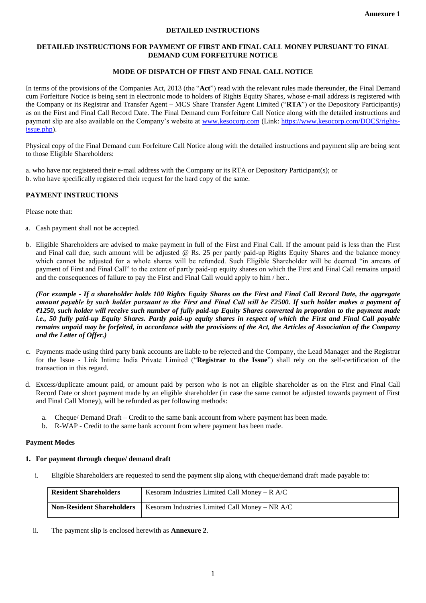## **DETAILED INSTRUCTIONS**

#### **DETAILED INSTRUCTIONS FOR PAYMENT OF FIRST AND FINAL CALL MONEY PURSUANT TO FINAL DEMAND CUM FORFEITURE NOTICE**

# **MODE OF DISPATCH OF FIRST AND FINAL CALL NOTICE**

In terms of the provisions of the Companies Act, 2013 (the "**Act**") read with the relevant rules made thereunder, the Final Demand cum Forfeiture Notice is being sent in electronic mode to holders of Rights Equity Shares, whose e-mail address is registered with the Company or its Registrar and Transfer Agent – MCS Share Transfer Agent Limited ("**RTA**") or the Depository Participant(s) as on the First and Final Call Record Date. The Final Demand cum Forfeiture Call Notice along with the detailed instructions and payment slip are also available on the Company's website at [www.kesocorp.com](http://www.kesocorp.com/) (Link: [https://www.kesocorp.com/DOCS/rights](https://www.kesocorp.com/DOCS/rights-issue.php)[issue.php\)](https://www.kesocorp.com/DOCS/rights-issue.php).

Physical copy of the Final Demand cum Forfeiture Call Notice along with the detailed instructions and payment slip are being sent to those Eligible Shareholders:

a. who have not registered their e-mail address with the Company or its RTA or Depository Participant(s); or b. who have specifically registered their request for the hard copy of the same.

# **PAYMENT INSTRUCTIONS**

Please note that:

- a. Cash payment shall not be accepted.
- b. Eligible Shareholders are advised to make payment in full of the First and Final Call. If the amount paid is less than the First and Final call due, such amount will be adjusted @ Rs. 25 per partly paid-up Rights Equity Shares and the balance money which cannot be adjusted for a whole shares will be refunded. Such Eligible Shareholder will be deemed "in arrears of payment of First and Final Call" to the extent of partly paid-up equity shares on which the First and Final Call remains unpaid and the consequences of failure to pay the First and Final Call would apply to him / her..

*(For example - If a shareholder holds 100 Rights Equity Shares on the First and Final Call Record Date, the aggregate amount payable by such holder pursuant to the First and Final Call will be ₹2500. If such holder makes a payment of ₹1250, such holder will receive such number of fully paid-up Equity Shares converted in proportion to the payment made i.e., 50 fully paid-up Equity Shares. Partly paid-up equity shares in respect of which the First and Final Call payable remains unpaid may be forfeited, in accordance with the provisions of the Act, the Articles of Association of the Company and the Letter of Offer.)*

- c. Payments made using third party bank accounts are liable to be rejected and the Company, the Lead Manager and the Registrar for the Issue - Link Intime India Private Limited ("**Registrar to the Issue**") shall rely on the self-certification of the transaction in this regard.
- d. Excess/duplicate amount paid, or amount paid by person who is not an eligible shareholder as on the First and Final Call Record Date or short payment made by an eligible shareholder (in case the same cannot be adjusted towards payment of First and Final Call Money), will be refunded as per following methods:
	- a. Cheque/ Demand Draft Credit to the same bank account from where payment has been made.
	- b. R-WAP Credit to the same bank account from where payment has been made.

## **Payment Modes**

## **1. For payment through cheque/ demand draft**

i. Eligible Shareholders are requested to send the payment slip along with cheque/demand draft made payable to:

| <b>Resident Shareholders</b>     | Kesoram Industries Limited Call Money – $R$ A/C |
|----------------------------------|-------------------------------------------------|
| <b>Non-Resident Shareholders</b> | Kesoram Industries Limited Call Money – NR A/C  |

ii. The payment slip is enclosed herewith as **Annexure 2**.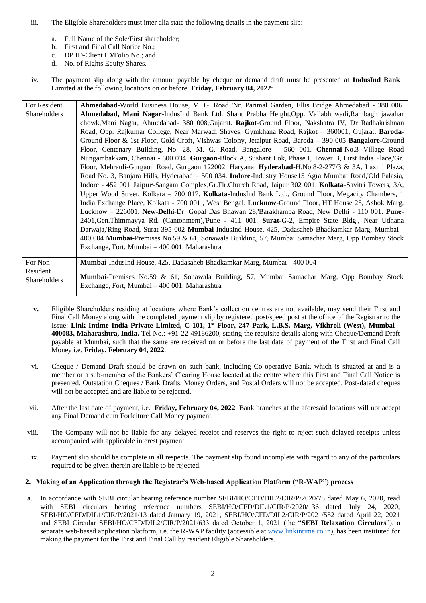iii. The Eligible Shareholders must inter alia state the following details in the payment slip:

Exchange, Fort, Mumbai – 400 001, Maharashtra

- a. Full Name of the Sole/First shareholder;
- b. First and Final Call Notice No.;
- c. DP ID-Client ID/Folio No.; and
- d. No. of Rights Equity Shares.
- iv. The payment slip along with the amount payable by cheque or demand draft must be presented at **IndusInd Bank Limited** at the following locations on or before **Friday, February 04, 2022**:

| For Resident | Ahmedabad-World Business House, M. G. Road 'Nr. Parimal Garden, Ellis Bridge Ahmedabad - 380 006.              |
|--------------|----------------------------------------------------------------------------------------------------------------|
| Shareholders | Ahmedabad, Mani Nagar-IndusInd Bank Ltd. Shant Prabha Height, Opp. Vallabh wadi, Rambagh jawahar               |
|              | chowk, Mani Nagar, Ahmedabad- 380 008, Gujarat. Rajkot-Ground Floor, Nakshatra IV, Dr Radhakrishnan            |
|              | Road, Opp. Rajkumar College, Near Marwadi Shaves, Gymkhana Road, Rajkot - 360001, Gujarat. Baroda-             |
|              | Ground Floor & 1st Floor, Gold Croft, Vishwas Colony, Jetalpur Road, Baroda - 390 005 <b>Bangalore-</b> Ground |
|              | Floor, Centenary Building, No. 28, M. G. Road, Bangalore - 560 001. Chennai-No.3 Village Road                  |
|              | Nungambakkam, Chennai - 600 034. Gurgaon-Block A, Sushant Lok, Phase I, Tower B, First India Place, Gr.        |
|              | Floor, Mehrauli-Gurgaon Road, Gurgaon 122002, Haryana. Hyderabad-H.No.8-2-277/3 & 3A, Laxmi Plaza,             |
|              | Road No. 3, Banjara Hills, Hyderabad – 500 034. Indore-Industry House15 Agra Mumbai Road, Old Palasia,         |
|              | Indore - 452 001 Jaipur-Sangam Complex, Gr. Flr. Church Road, Jaipur 302 001. Kolkata-Savitri Towers, 3A,      |
|              | Upper Wood Street, Kolkata – 700 017. Kolkata-IndusInd Bank Ltd., Ground Floor, Megacity Chambers, 1           |
|              | India Exchange Place, Kolkata - 700 001, West Bengal. Lucknow-Ground Floor, HT House 25, Ashok Marg,           |
|              | Lucknow - 226001. New-Delhi-Dr. Gopal Das Bhawan 28, Barakhamba Road, New Delhi - 110 001. Pune-               |
|              | 2401, Gen. Thimmayya Rd. (Cantonment), Pune - 411 001. Surat-G-2, Empire State Bldg., Near Udhana              |
|              | Darwaja,'Ring Road, Surat 395 002 Mumbai-IndusInd House, 425, Dadasaheb Bhadkamkar Marg, Mumbai -              |
|              | 400 004 Mumbai-Premises No.59 & 61, Sonawala Building, 57, Mumbai Samachar Marg, Opp Bombay Stock              |
|              | Exchange, Fort, Mumbai – 400 001, Maharashtra                                                                  |
|              |                                                                                                                |
| For Non-     | <b>Mumbai-IndusInd House, 425, Dadasaheb Bhadkamkar Marg, Mumbai - 400 004</b>                                 |
| Resident     | Mumbai-Premises No.59 & 61, Sonawala Building, 57, Mumbai Samachar Marg, Opp Bombay Stock                      |
| Shareholders |                                                                                                                |

- **v.** Eligible Shareholders residing at locations where Bank's collection centres are not available, may send their First and Final Call Money along with the completed payment slip by registered post/speed post at the office of the Registrar to the Issue: **Link Intime India Private Limited, C-101, 1st Floor, 247 Park, L.B.S. Marg, Vikhroli (West), Mumbai - 400083, Maharashtra, India.** Tel No.: +91-22-49186200, stating the requisite details along with Cheque/Demand Draft payable at Mumbai, such that the same are received on or before the last date of payment of the First and Final Call Money i.e. **Friday, February 04, 2022**.
- vi. Cheque / Demand Draft should be drawn on such bank, including Co-operative Bank, which is situated at and is a member or a sub-member of the Bankers' Clearing House located at the centre where this First and Final Call Notice is presented. Outstation Cheques / Bank Drafts, Money Orders, and Postal Orders will not be accepted. Post-dated cheques will not be accepted and are liable to be rejected.
- vii. After the last date of payment, i.e. **Friday, February 04, 2022**, Bank branches at the aforesaid locations will not accept any Final Demand cum Forfeiture Call Money payment.
- viii. The Company will not be liable for any delayed receipt and reserves the right to reject such delayed receipts unless accompanied with applicable interest payment.
- ix. Payment slip should be complete in all respects. The payment slip found incomplete with regard to any of the particulars required to be given therein are liable to be rejected.

## **2. Making of an Application through the Registrar's Web-based Application Platform ("R-WAP") process**

a. In accordance with SEBI circular bearing reference number SEBI/HO/CFD/DIL2/CIR/P/2020/78 dated May 6, 2020, read with SEBI circulars bearing reference numbers SEBI/HO/CFD/DIL1/CIR/P/2020/136 dated July 24, 2020, SEBI/HO/CFD/DIL1/CIR/P/2021/13 dated January 19, 2021, SEBI/HO/CFD/DIL2/CIR/P/2021/552 dated April 22, 2021 and SEBI Circular SEBI/HO/CFD/DIL2/CIR/P/2021/633 dated October 1, 2021 (the "**SEBI Relaxation Circulars**"), a separate web-based application platform, i.e. the R-WAP facility (accessible at www.linkintime.co.in), has been instituted for making the payment for the First and Final Call by resident Eligible Shareholders.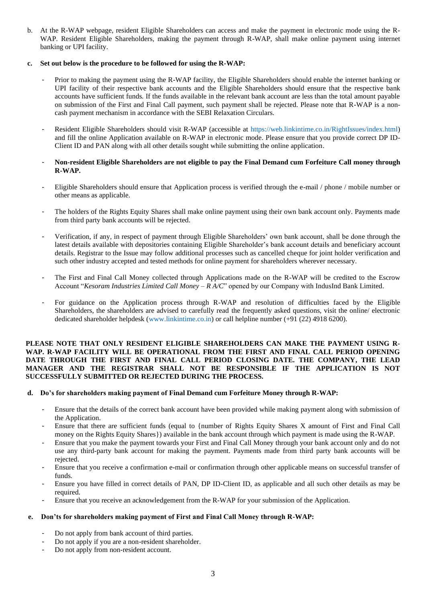b. At the R-WAP webpage, resident Eligible Shareholders can access and make the payment in electronic mode using the R-WAP. Resident Eligible Shareholders, making the payment through R-WAP, shall make online payment using internet banking or UPI facility.

## **c. Set out below is the procedure to be followed for using the R-WAP:**

- Prior to making the payment using the R-WAP facility, the Eligible Shareholders should enable the internet banking or UPI facility of their respective bank accounts and the Eligible Shareholders should ensure that the respective bank accounts have sufficient funds. If the funds available in the relevant bank account are less than the total amount payable on submission of the First and Final Call payment, such payment shall be rejected. Please note that R-WAP is a noncash payment mechanism in accordance with the SEBI Relaxation Circulars.
- Resident Eligible Shareholders should visit R-WAP (accessible at https://web.linkintime.co.in/RightIssues/index.html) and fill the online Application available on R-WAP in electronic mode. Please ensure that you provide correct DP ID-Client ID and PAN along with all other details sought while submitting the online application.
- **Non-resident Eligible Shareholders are not eligible to pay the Final Demand cum Forfeiture Call money through R-WAP.**
- Eligible Shareholders should ensure that Application process is verified through the e-mail / phone / mobile number or other means as applicable.
- The holders of the Rights Equity Shares shall make online payment using their own bank account only. Payments made from third party bank accounts will be rejected.
- Verification, if any, in respect of payment through Eligible Shareholders' own bank account, shall be done through the latest details available with depositories containing Eligible Shareholder's bank account details and beneficiary account details. Registrar to the Issue may follow additional processes such as cancelled cheque for joint holder verification and such other industry accepted and tested methods for online payment for shareholders wherever necessary.
- The First and Final Call Money collected through Applications made on the R-WAP will be credited to the Escrow Account "*Kesoram Industries Limited Call Money – R A/C*" opened by our Company with IndusInd Bank Limited.
- For guidance on the Application process through R-WAP and resolution of difficulties faced by the Eligible Shareholders, the shareholders are advised to carefully read the frequently asked questions, visit the online/ electronic dedicated shareholder helpdesk (www.linkintime.co.in) or call helpline number (+91 (22) 4918 6200).

## **PLEASE NOTE THAT ONLY RESIDENT ELIGIBLE SHAREHOLDERS CAN MAKE THE PAYMENT USING R-WAP. R-WAP FACILITY WILL BE OPERATIONAL FROM THE FIRST AND FINAL CALL PERIOD OPENING DATE THROUGH THE FIRST AND FINAL CALL PERIOD CLOSING DATE. THE COMPANY, THE LEAD MANAGER AND THE REGISTRAR SHALL NOT BE RESPONSIBLE IF THE APPLICATION IS NOT SUCCESSFULLY SUBMITTED OR REJECTED DURING THE PROCESS.**

## **d. Do's for shareholders making payment of Final Demand cum Forfeiture Money through R-WAP:**

- Ensure that the details of the correct bank account have been provided while making payment along with submission of the Application.
- Ensure that there are sufficient funds (equal to {number of Rights Equity Shares X amount of First and Final Call money on the Rights Equity Shares}) available in the bank account through which payment is made using the R-WAP.
- Ensure that you make the payment towards your First and Final Call Money through your bank account only and do not use any third-party bank account for making the payment. Payments made from third party bank accounts will be rejected.
- Ensure that you receive a confirmation e-mail or confirmation through other applicable means on successful transfer of funds.
- Ensure you have filled in correct details of PAN, DP ID-Client ID, as applicable and all such other details as may be required
- Ensure that you receive an acknowledgement from the R-WAP for your submission of the Application.

## **e. Don'ts for shareholders making payment of First and Final Call Money through R-WAP:**

- Do not apply from bank account of third parties.
- Do not apply if you are a non-resident shareholder.
- Do not apply from non-resident account.